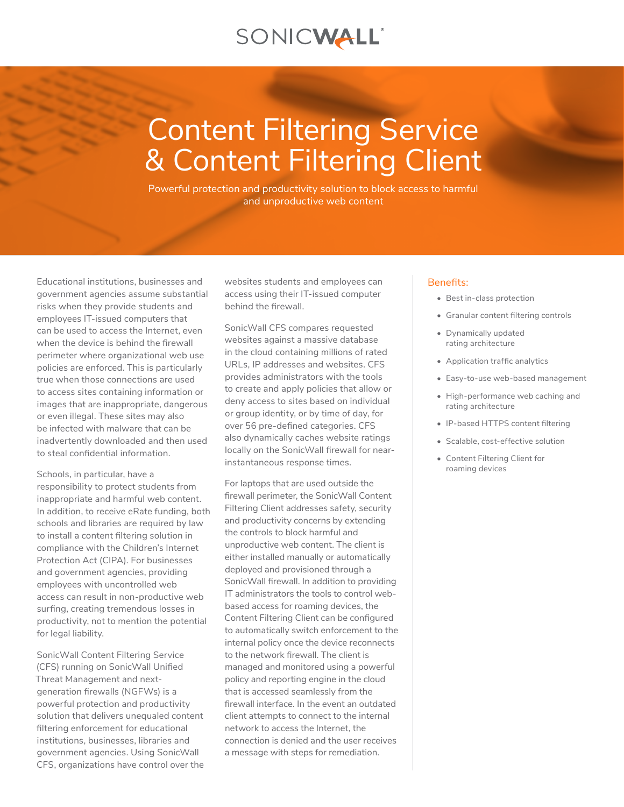# SONICWALL®

# Content Filtering Service & Content Filtering Client

Powerful protection and productivity solution to block access to harmful and unproductive web content

Educational institutions, businesses and government agencies assume substantial risks when they provide students and employees IT-issued computers that can be used to access the Internet, even when the device is behind the firewall perimeter where organizational web use policies are enforced. This is particularly true when those connections are used to access sites containing information or images that are inappropriate, dangerous or even illegal. These sites may also be infected with malware that can be inadvertently downloaded and then used to steal confidential information.

Schools, in particular, have a responsibility to protect students from inappropriate and harmful web content. In addition, to receive eRate funding, both schools and libraries are required by law to install a content filtering solution in compliance with the Children's Internet Protection Act (CIPA). For businesses and government agencies, providing employees with uncontrolled web access can result in non-productive web surfing, creating tremendous losses in productivity, not to mention the potential for legal liability.

SonicWall Content Filtering Service (CFS) running on SonicWall Unified Threat Management and nextgeneration firewalls (NGFWs) is a powerful protection and productivity solution that delivers unequaled content filtering enforcement for educational institutions, businesses, libraries and government agencies. Using SonicWall CFS, organizations have control over the websites students and employees can access using their IT-issued computer behind the firewall.

SonicWall CFS compares requested websites against a massive database in the cloud containing millions of rated URLs, IP addresses and websites. CFS provides administrators with the tools to create and apply policies that allow or deny access to sites based on individual or group identity, or by time of day, for over 56 pre-defined categories. CFS also dynamically caches website ratings locally on the SonicWall firewall for nearinstantaneous response times.

For laptops that are used outside the firewall perimeter, the SonicWall Content Filtering Client addresses safety, security and productivity concerns by extending the controls to block harmful and unproductive web content. The client is either installed manually or automatically deployed and provisioned through a SonicWall firewall. In addition to providing IT administrators the tools to control webbased access for roaming devices, the Content Filtering Client can be configured to automatically switch enforcement to the internal policy once the device reconnects to the network firewall. The client is managed and monitored using a powerful policy and reporting engine in the cloud that is accessed seamlessly from the firewall interface. In the event an outdated client attempts to connect to the internal network to access the Internet, the connection is denied and the user receives a message with steps for remediation.

#### Benefits:

- Best in-class protection
- Granular content filtering controls
- Dynamically updated rating architecture
- Application traffic analytics
- Easy-to-use web-based management
- High-performance web caching and rating architecture
- IP-based HTTPS content filtering
- Scalable, cost-effective solution
- Content Filtering Client for roaming devices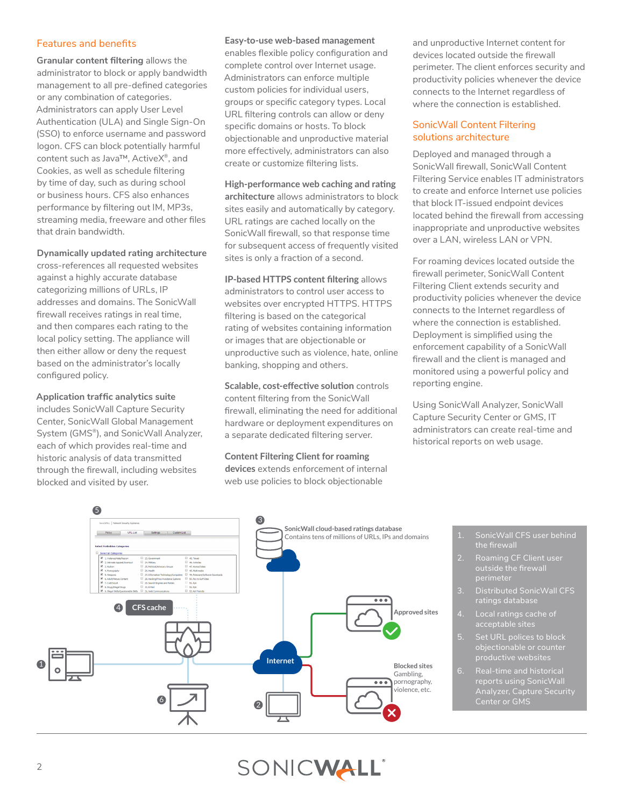## Features and benefits

**Granular content filtering** allows the administrator to block or apply bandwidth management to all pre-defined categories or any combination of categories. Administrators can apply User Level Authentication (ULA) and Single Sign-On (SSO) to enforce username and password logon. CFS can block potentially harmful content such as Java™, ActiveX®, and Cookies, as well as schedule filtering by time of day, such as during school or business hours. CFS also enhances performance by filtering out IM, MP3s, streaming media, freeware and other files that drain bandwidth.

## **Dynamically updated rating architecture**

cross-references all requested websites against a highly accurate database categorizing millions of URLs, IP addresses and domains. The SonicWall firewall receives ratings in real time, and then compares each rating to the local policy setting. The appliance will then either allow or deny the request based on the administrator's locally configured policy.

# **Application traffic analytics suite**

includes SonicWall Capture Security Center, SonicWall Global Management System (GMS®), and SonicWall Analyzer, each of which provides real-time and historic analysis of data transmitted through the firewall, including websites blocked and visited by user.

#### **Easy-to-use web-based management**

enables flexible policy configuration and complete control over Internet usage. Administrators can enforce multiple custom policies for individual users, groups or specific category types. Local URL filtering controls can allow or deny specific domains or hosts. To block objectionable and unproductive material more effectively, administrators can also create or customize filtering lists.

# **High-performance web caching and rating architecture** allows administrators to block sites easily and automatically by category. URL ratings are cached locally on the SonicWall firewall, so that response time for subsequent access of frequently visited sites is only a fraction of a second.

**IP-based HTTPS content filtering** allows administrators to control user access to websites over encrypted HTTPS. HTTPS filtering is based on the categorical rating of websites containing information or images that are objectionable or unproductive such as violence, hate, online banking, shopping and others.

**Scalable, cost-effective solution** controls content filtering from the SonicWall firewall, eliminating the need for additional hardware or deployment expenditures on a separate dedicated filtering server.

#### **Content Filtering Client for roaming devices** extends enforcement of internal web use policies to block objectionable

and unproductive Internet content for devices located outside the firewall perimeter. The client enforces security and productivity policies whenever the device connects to the Internet regardless of where the connection is established.

# SonicWall Content Filtering solutions architecture

Deployed and managed through a SonicWall firewall, SonicWall Content Filtering Service enables IT administrators to create and enforce Internet use policies that block IT-issued endpoint devices located behind the firewall from accessing inappropriate and unproductive websites over a LAN, wireless LAN or VPN.

For roaming devices located outside the firewall perimeter, SonicWall Content Filtering Client extends security and productivity policies whenever the device connects to the Internet regardless of where the connection is established. Deployment is simplified using the enforcement capability of a SonicWall firewall and the client is managed and monitored using a powerful policy and reporting engine.

Using SonicWall Analyzer, SonicWall Capture Security Center or GMS, IT administrators can create real-time and historical reports on web usage.



- SonicWall CFS user behind the firewall
- perimeter
- 3. Distributed SonicWall CFS ratings database
- 4. Local ratings cache of acceptable sites
- 5. Set URL polices to block objectionable or counter
- reports using SonicWall Analyzer, Capture Security